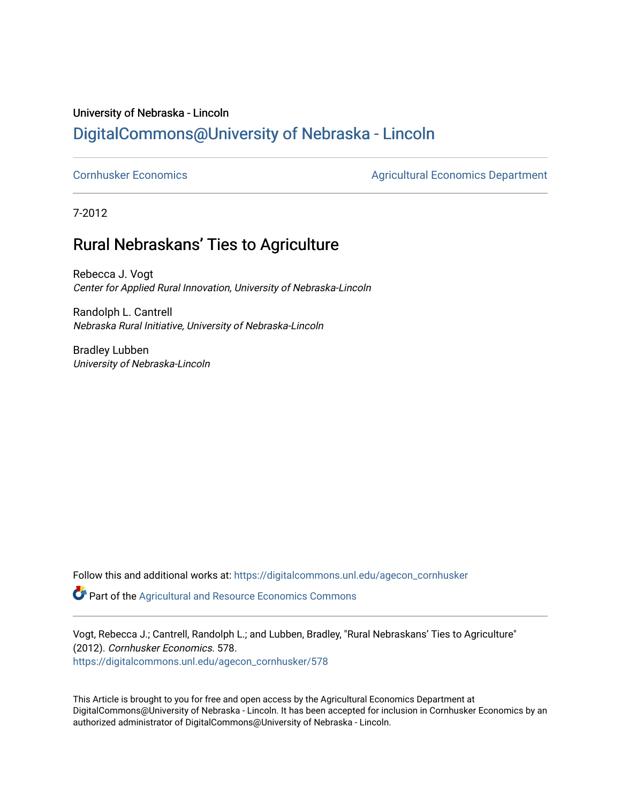## University of Nebraska - Lincoln [DigitalCommons@University of Nebraska - Lincoln](https://digitalcommons.unl.edu/)

[Cornhusker Economics](https://digitalcommons.unl.edu/agecon_cornhusker) **Agricultural Economics** Department

7-2012

## Rural Nebraskans' Ties to Agriculture

Rebecca J. Vogt Center for Applied Rural Innovation, University of Nebraska-Lincoln

Randolph L. Cantrell Nebraska Rural Initiative, University of Nebraska-Lincoln

Bradley Lubben University of Nebraska-Lincoln

Follow this and additional works at: [https://digitalcommons.unl.edu/agecon\\_cornhusker](https://digitalcommons.unl.edu/agecon_cornhusker?utm_source=digitalcommons.unl.edu%2Fagecon_cornhusker%2F578&utm_medium=PDF&utm_campaign=PDFCoverPages) 

Part of the [Agricultural and Resource Economics Commons](http://network.bepress.com/hgg/discipline/317?utm_source=digitalcommons.unl.edu%2Fagecon_cornhusker%2F578&utm_medium=PDF&utm_campaign=PDFCoverPages) 

Vogt, Rebecca J.; Cantrell, Randolph L.; and Lubben, Bradley, "Rural Nebraskans' Ties to Agriculture" (2012). Cornhusker Economics. 578. [https://digitalcommons.unl.edu/agecon\\_cornhusker/578](https://digitalcommons.unl.edu/agecon_cornhusker/578?utm_source=digitalcommons.unl.edu%2Fagecon_cornhusker%2F578&utm_medium=PDF&utm_campaign=PDFCoverPages) 

This Article is brought to you for free and open access by the Agricultural Economics Department at DigitalCommons@University of Nebraska - Lincoln. It has been accepted for inclusion in Cornhusker Economics by an authorized administrator of DigitalCommons@University of Nebraska - Lincoln.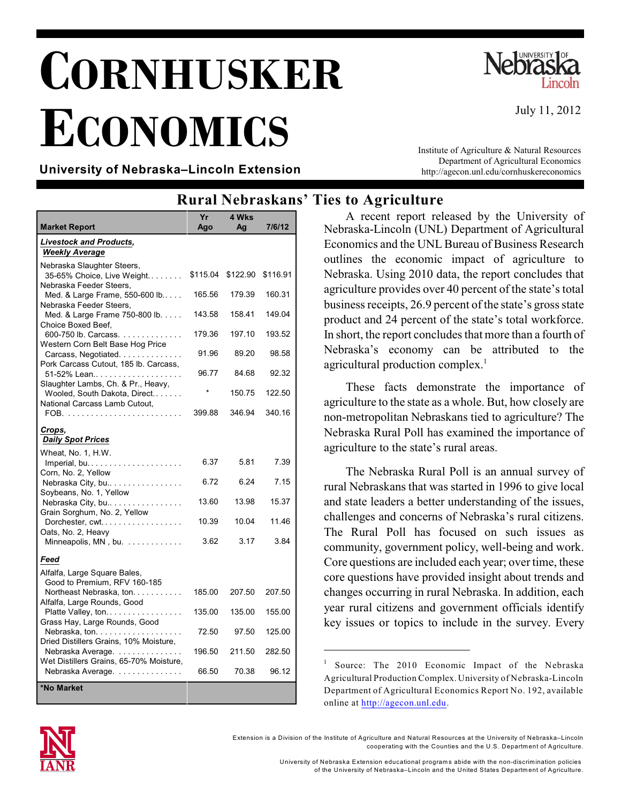## **CORNHUSKER ECONOMICS**



Institute of Agriculture & Natural Resources Department of Agricultural Economics http://agecon.unl.edu/cornhuskereconomics

July 11, 2012

**University of Nebraska–Lincoln Extension**

## **Rural Nebraskans' Ties to Agriculture**

| <b>Market Report</b>                                                                                 | Yr<br>Ago | 4 Wks<br>Ag | 7/6/12   |
|------------------------------------------------------------------------------------------------------|-----------|-------------|----------|
| <b>Livestock and Products,</b>                                                                       |           |             |          |
| <b>Weekly Average</b>                                                                                |           |             |          |
| Nebraska Slaughter Steers,<br>35-65% Choice, Live Weight<br>Nebraska Feeder Steers,                  | \$115.04  | \$122.90    | \$116.91 |
| Med. & Large Frame, 550-600 lb<br>Nebraska Feeder Steers.                                            | 165.56    | 179.39      | 160.31   |
| Med. & Large Frame 750-800 lb.<br>Choice Boxed Beef.                                                 | 143.58    | 158.41      | 149.04   |
| 600-750 lb. Carcass.<br>Western Corn Belt Base Hog Price                                             | 179.36    | 197.10      | 193.52   |
| Carcass, Negotiated.<br>Pork Carcass Cutout, 185 lb. Carcass,                                        | 91.96     | 89.20       | 98.58    |
| 51-52% Lean                                                                                          | 96.77     | 84.68       | 92.32    |
| Slaughter Lambs, Ch. & Pr., Heavy,<br>Wooled, South Dakota, Direct<br>National Carcass Lamb Cutout.  |           | 150.75      | 122.50   |
|                                                                                                      | 399.88    | 346.94      | 340.16   |
| Crops,<br><b>Daily Spot Prices</b>                                                                   |           |             |          |
| Wheat, No. 1, H.W.                                                                                   | 6.37      | 5.81        | 7.39     |
| Corn, No. 2, Yellow<br>Nebraska City, bu<br>Soybeans, No. 1, Yellow                                  | 6.72      | 6.24        | 7.15     |
| Nebraska City, bu<br>Grain Sorghum, No. 2, Yellow                                                    | 13.60     | 13.98       | 15.37    |
| Dorchester, cwt<br>Oats, No. 2, Heavy                                                                | 10.39     | 10.04       | 11.46    |
| Minneapolis, MN, bu.                                                                                 | 3.62      | 3.17        | 3.84     |
| Feed                                                                                                 |           |             |          |
| Alfalfa, Large Square Bales,<br>Good to Premium, RFV 160-185<br>Northeast Nebraska, ton.             | 185.00    | 207.50      | 207.50   |
| Alfalfa, Large Rounds, Good<br>Platte Valley, ton                                                    | 135.00    | 135.00      | 155.00   |
| Grass Hay, Large Rounds, Good<br>Nebraska, ton. $\ldots$ .<br>Dried Distillers Grains, 10% Moisture, | 72.50     | 97.50       | 125.00   |
| Nebraska Average.                                                                                    | 196.50    | 211.50      | 282.50   |
| Wet Distillers Grains, 65-70% Moisture,<br>Nebraska Average.                                         | 66.50     | 70.38       | 96.12    |
| *No Market                                                                                           |           |             |          |

A recent report released by the University of Nebraska-Lincoln (UNL) Department of Agricultural Economics and the UNL Bureau of Business Research outlines the economic impact of agriculture to Nebraska. Using 2010 data, the report concludes that agriculture provides over 40 percent of the state's total business receipts, 26.9 percent of the state's gross state product and 24 percent of the state's total workforce. In short, the report concludes that more than a fourth of Nebraska's economy can be attributed to the agricultural production complex.<sup>1</sup>

These facts demonstrate the importance of agriculture to the state as a whole. But, how closely are non-metropolitan Nebraskans tied to agriculture? The Nebraska Rural Poll has examined the importance of agriculture to the state's rural areas.

The Nebraska Rural Poll is an annual survey of rural Nebraskans that was started in 1996 to give local and state leaders a better understanding of the issues, challenges and concerns of Nebraska's rural citizens. The Rural Poll has focused on such issues as community, government policy, well-being and work. Core questions are included each year; over time, these core questions have provided insight about trends and changes occurring in rural Nebraska. In addition, each year rural citizens and government officials identify key issues or topics to include in the survey. Every



Extension is a Division of the Institute of Agriculture and Natural Resources at the University of Nebraska–Lincoln cooperating with the Counties and the U.S. Departm ent of Agriculture.

Source: The 2010 Economic Impact of the Nebraska 1 Agricultural Production Complex. University of Nebraska-Lincoln Department of Agricultural Economics Report No. 192, available online at <http://agecon.unl.edu>.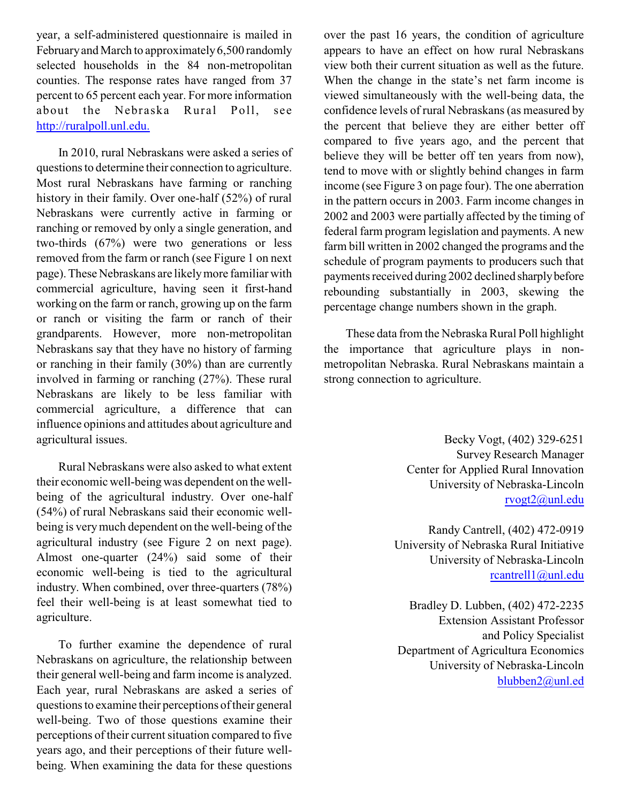year, a self-administered questionnaire is mailed in February and March to approximately 6,500 randomly selected households in the 84 non-metropolitan counties. The response rates have ranged from 37 percent to 65 percent each year. For more information about the Nebraska Rural Poll, see <http://ruralpoll.unl.edu.>

In 2010, rural Nebraskans were asked a series of questions to determine their connection to agriculture. Most rural Nebraskans have farming or ranching history in their family. Over one-half (52%) of rural Nebraskans were currently active in farming or ranching or removed by only a single generation, and two-thirds (67%) were two generations or less removed from the farm or ranch (see Figure 1 on next page). These Nebraskans are likelymore familiar with commercial agriculture, having seen it first-hand working on the farm or ranch, growing up on the farm or ranch or visiting the farm or ranch of their grandparents. However, more non-metropolitan Nebraskans say that they have no history of farming or ranching in their family (30%) than are currently involved in farming or ranching (27%). These rural Nebraskans are likely to be less familiar with commercial agriculture, a difference that can influence opinions and attitudes about agriculture and agricultural issues.

Rural Nebraskans were also asked to what extent their economic well-being was dependent on the wellbeing of the agricultural industry. Over one-half (54%) of rural Nebraskans said their economic wellbeing is verymuch dependent on the well-being of the agricultural industry (see Figure 2 on next page). Almost one-quarter (24%) said some of their economic well-being is tied to the agricultural industry. When combined, over three-quarters (78%) feel their well-being is at least somewhat tied to agriculture.

To further examine the dependence of rural Nebraskans on agriculture, the relationship between their general well-being and farm income is analyzed. Each year, rural Nebraskans are asked a series of questions to examine their perceptions of their general well-being. Two of those questions examine their perceptions of their current situation compared to five years ago, and their perceptions of their future wellbeing. When examining the data for these questions

over the past 16 years, the condition of agriculture appears to have an effect on how rural Nebraskans view both their current situation as well as the future. When the change in the state's net farm income is viewed simultaneously with the well-being data, the confidence levels of rural Nebraskans (as measured by the percent that believe they are either better off compared to five years ago, and the percent that believe they will be better off ten years from now), tend to move with or slightly behind changes in farm income (see Figure 3 on page four). The one aberration in the pattern occurs in 2003. Farm income changes in 2002 and 2003 were partially affected by the timing of federal farm program legislation and payments. A new farm bill written in 2002 changed the programs and the schedule of program payments to producers such that payments received during 2002 declined sharplybefore rebounding substantially in 2003, skewing the percentage change numbers shown in the graph.

These data from the Nebraska Rural Poll highlight the importance that agriculture plays in nonmetropolitan Nebraska. Rural Nebraskans maintain a strong connection to agriculture.

> Becky Vogt, (402) 329-6251 Survey Research Manager Center for Applied Rural Innovation University of Nebraska-Lincoln [rvogt2@unl.edu](mailto:rvogt2@unl.edu)

Randy Cantrell, (402) 472-0919 University of Nebraska Rural Initiative University of Nebraska-Lincoln [rcantrell1@unl.edu](mailto:rcantrell1@unl.edu)

Bradley D. Lubben, (402) 472-2235 Extension Assistant Professor and Policy Specialist Department of Agricultura Economics University of Nebraska-Lincoln [blubben2@unl.ed](mailto:blubben2@unl.edu)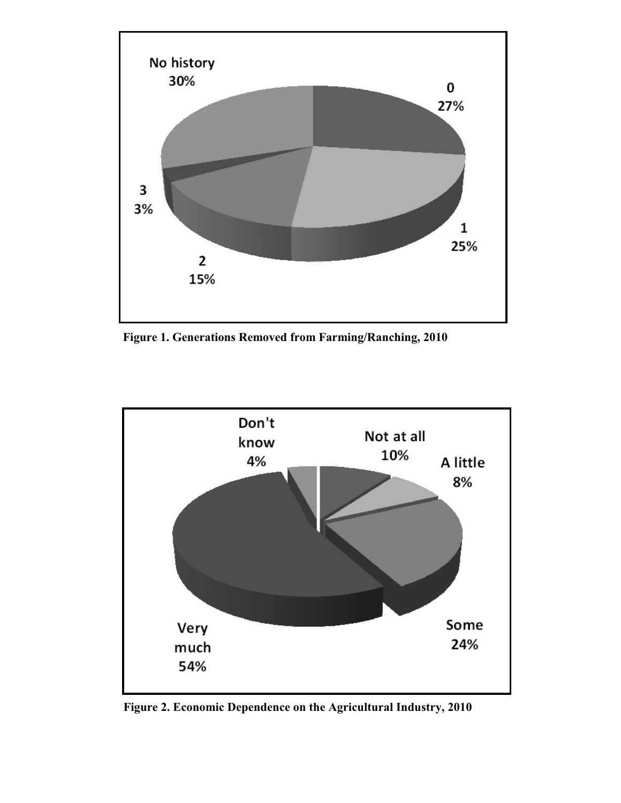

**Figure 1. Generations Removed from Farming/Ranching, 2010**



**Figure 2. Economic Dependence on the Agricultural Industry, 2010**